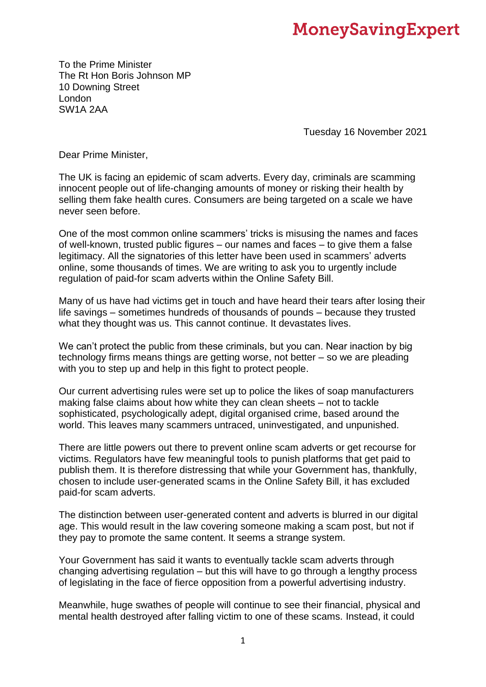## **MoneySavingExpert**

To the Prime Minister The Rt Hon Boris Johnson MP 10 Downing Street London SW1A 2AA

Tuesday 16 November 2021

Dear Prime Minister,

The UK is facing an epidemic of scam adverts. Every day, criminals are scamming innocent people out of life-changing amounts of money or risking their health by selling them fake health cures. Consumers are being targeted on a scale we have never seen before.

One of the most common online scammers' tricks is misusing the names and faces of well-known, trusted public figures – our names and faces – to give them a false legitimacy. All the signatories of this letter have been used in scammers' adverts online, some thousands of times. We are writing to ask you to urgently include regulation of paid-for scam adverts within the Online Safety Bill.

Many of us have had victims get in touch and have heard their tears after losing their life savings – sometimes hundreds of thousands of pounds – because they trusted what they thought was us. This cannot continue. It devastates lives.

We can't protect the public from these criminals, but you can. Near inaction by big technology firms means things are getting worse, not better – so we are pleading with you to step up and help in this fight to protect people.

Our current advertising rules were set up to police the likes of soap manufacturers making false claims about how white they can clean sheets – not to tackle sophisticated, psychologically adept, digital organised crime, based around the world. This leaves many scammers untraced, uninvestigated, and unpunished.

There are little powers out there to prevent online scam adverts or get recourse for victims. Regulators have few meaningful tools to punish platforms that get paid to publish them. It is therefore distressing that while your Government has, thankfully, chosen to include user-generated scams in the Online Safety Bill, it has excluded paid-for scam adverts.

The distinction between user-generated content and adverts is blurred in our digital age. This would result in the law covering someone making a scam post, but not if they pay to promote the same content. It seems a strange system.

Your Government has said it wants to eventually tackle scam adverts through changing advertising regulation – but this will have to go through a lengthy process of legislating in the face of fierce opposition from a powerful advertising industry.

Meanwhile, huge swathes of people will continue to see their financial, physical and mental health destroyed after falling victim to one of these scams. Instead, it could